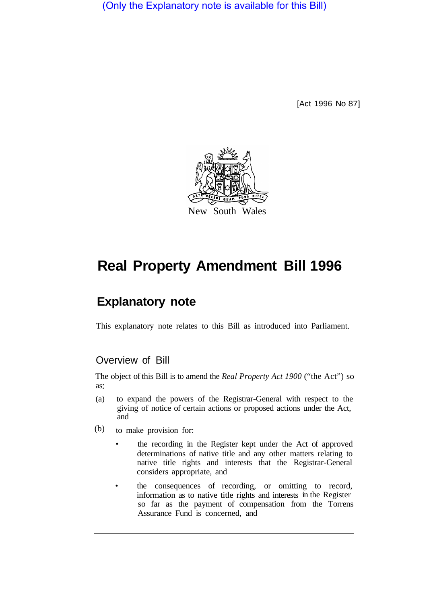(Only the Explanatory note is available for this Bill)

[Act 1996 No 87]



# **Real Property Amendment Bill 1996**

# **Explanatory note**

This explanatory note relates to this Bill as introduced into Parliament.

# Overview of Bill

The object of this Bill is to amend the *Real Property Act 1900* ("the Act") so as:

- (a) to expand the powers of the Registrar-General with respect to the giving of notice of certain actions or proposed actions under the Act, and
- to make provision for: (b)
	- the recording in the Register kept under the Act of approved determinations of native title and any other matters relating to native title rights and interests that the Registrar-General considers appropriate, and
	- the consequences of recording, or omitting to record, information as to native title rights and interests in the Register so far as the payment of compensation from the Torrens Assurance Fund is concerned, and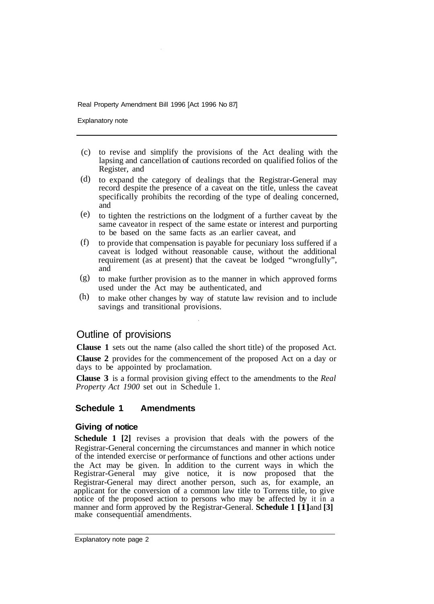Explanatory note

- to revise and simplify the provisions of the Act dealing with the (c) lapsing and cancellation of cautions recorded on qualified folios of the Register, and
- (d) to expand the category of dealings that the Registrar-General may record despite the presence of a caveat on the title, unless the caveat specifically prohibits the recording of the type of dealing concerned, and
- to tighten the restrictions on the lodgment of a further caveat by the (e) same caveator in respect of the same estate or interest and purporting to be based on the same facts as .an earlier caveat, and
- to provide that compensation is payable for pecuniary loss suffered if a caveat is lodged without reasonable cause, without the additional requirement (as at present) that the caveat be lodged "wrongfully", and (f)
- to make further provision as to the manner in which approved forms used under the Act may be authenticated, and (g)
- to make other changes by way of statute law revision and to include savings and transitional provisions. (h)

# Outline of provisions

**Clause 1** sets out the name (also called the short title) of the proposed Act.

**Clause 2** provides for the commencement of the proposed Act on a day or days to be appointed by proclamation.

**Clause 3** is a formal provision giving effect to the amendments to the *Real Property Act 1900* set out in Schedule 1.

#### **Schedule 1 Amendments**

#### **Giving of notice**

**Schedule 1 [2]** revises a provision that deals with the powers of the Registrar-General concerning the circumstances and manner in which notice of the intended exercise or performance of functions and other actions under the Act may be given. In addition to the current ways in which the Registrar-General may give notice, it is now proposed that the Registrar-General may direct another person, such as, for example, an applicant for the conversion of a common law title to Torrens title, to give notice of the proposed action to persons who may be affected by it in a manner and form approved by the Registrar-General. **Schedule 1 [1]** and **[3]**  make consequential amendments.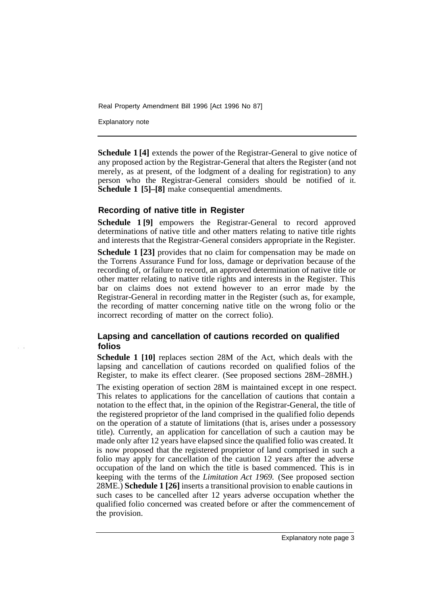Explanatory note

**Schedule 1 [4]** extends the power of the Registrar-General to give notice of any proposed action by the Registrar-General that alters the Register (and not merely, as at present, of the lodgment of a dealing for registration) to any person who the Registrar-General considers should be notified of it. **Schedule 1 [5]–[8]** make consequential amendments.

#### **Recording of native title in Register**

**Schedule 1 [9]** empowers the Registrar-General to record approved determinations of native title and other matters relating to native title rights and interests that the Registrar-General considers appropriate in the Register.

**Schedule 1 [23]** provides that no claim for compensation may be made on the Torrens Assurance Fund for loss, damage or deprivation because of the recording of, or failure to record, an approved determination of native title or other matter relating to native title rights and interests in the Register. This bar on claims does not extend however to an error made by the Registrar-General in recording matter in the Register (such as, for example, the recording of matter concerning native title on the wrong folio or the incorrect recording of matter on the correct folio).

### **Lapsing and cancellation of cautions recorded on qualified folios**

**Schedule 1 [10]** replaces section 28M of the Act, which deals with the lapsing and cancellation of cautions recorded on qualified folios of the Register, to make its effect clearer. (See proposed sections 28M–28MH.)

The existing operation of section 28M is maintained except in one respect. This relates to applications for the cancellation of cautions that contain a notation to the effect that, in the opinion of the Registrar-General, the title of the registered proprietor of the land comprised in the qualified folio depends on the operation of a statute of limitations (that is, arises under a possessory title). Currently, an application for cancellation of such a caution may be made only after 12 years have elapsed since the qualified folio was created. It is now proposed that the registered proprietor of land comprised in such a folio may apply for cancellation of the caution 12 years after the adverse occupation of the land on which the title is based commenced. This is in keeping with the terms of the *Limitation Act 1969.* (See proposed section 28ME.) **Schedule 1 [26]** inserts a transitional provision to enable cautions in such cases to be cancelled after 12 years adverse occupation whether the qualified folio concerned was created before or after the commencement of the provision.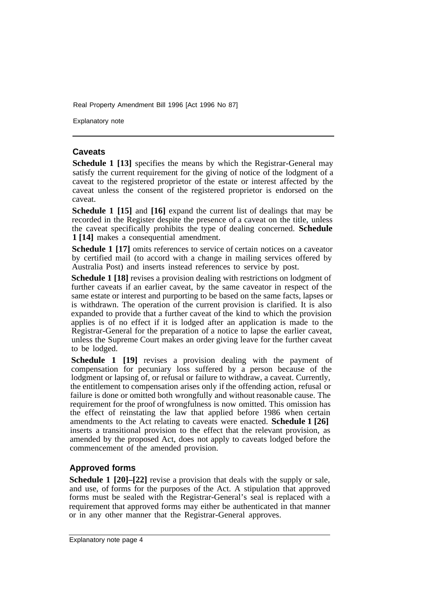Explanatory note

#### **Caveats**

**Schedule 1 [13]** specifies the means by which the Registrar-General may satisfy the current requirement for the giving of notice of the lodgment of a caveat to the registered proprietor of the estate or interest affected by the caveat unless the consent of the registered proprietor is endorsed on the caveat.

**Schedule 1 [15]** and **[16]** expand the current list of dealings that may be recorded in the Register despite the presence of a caveat on the title, unless the caveat specifically prohibits the type of dealing concerned. **Schedule 1 [14]** makes a consequential amendment.

**Schedule 1 [17]** omits references to service of certain notices on a caveator by certified mail (to accord with a change in mailing services offered by Australia Post) and inserts instead references to service by post.

**Schedule 1 [18]** revises a provision dealing with restrictions on lodgment of further caveats if an earlier caveat, by the same caveator in respect of the same estate or interest and purporting to be based on the same facts, lapses or is withdrawn. The operation of the current provision is clarified. It is also expanded to provide that a further caveat of the kind to which the provision applies is of no effect if it is lodged after an application is made to the Registrar-General for the preparation of a notice to lapse the earlier caveat, unless the Supreme Court makes an order giving leave for the further caveat to be lodged.

**Schedule 1 [19]** revises a provision dealing with the payment of compensation for pecuniary loss suffered by a person because of the lodgment or lapsing of, or refusal or failure to withdraw, a caveat. Currently, the entitlement to compensation arises only if the offending action, refusal or failure is done or omitted both wrongfully and without reasonable cause. The requirement for the proof of wrongfulness is now omitted. This omission has the effect of reinstating the law that applied before 1986 when certain amendments to the Act relating to caveats were enacted. **Schedule 1 [26]**  inserts a transitional provision to the effect that the relevant provision, as amended by the proposed Act, does not apply to caveats lodged before the commencement of the amended provision.

# **Approved forms**

**Schedule 1 [20]–[22]** revise a provision that deals with the supply or sale, and use, of forms for the purposes of the Act. A stipulation that approved forms must be sealed with the Registrar-General's seal is replaced with a requirement that approved forms may either be authenticated in that manner or in any other manner that the Registrar-General approves.